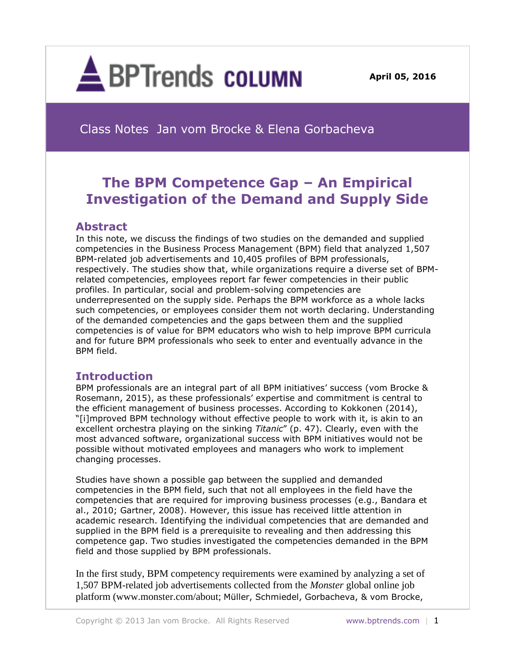

**April 05, 2016**

Class Notes Jan vom Brocke & Elena Gorbacheva

# **The BPM Competence Gap – An Empirical Investigation of the Demand and Supply Side**

### **Abstract**

In this note, we discuss the findings of two studies on the demanded and supplied competencies in the Business Process Management (BPM) field that analyzed 1,507 BPM-related job advertisements and 10,405 profiles of BPM professionals, respectively. The studies show that, while organizations require a diverse set of BPMrelated competencies, employees report far fewer competencies in their public profiles. In particular, social and problem-solving competencies are underrepresented on the supply side. Perhaps the BPM workforce as a whole lacks such competencies, or employees consider them not worth declaring. Understanding of the demanded competencies and the gaps between them and the supplied competencies is of value for BPM educators who wish to help improve BPM curricula and for future BPM professionals who seek to enter and eventually advance in the BPM field.

### **Introduction**

BPM professionals are an integral part of all BPM initiatives' success (vom Brocke & Rosemann, 2015), as these professionals' expertise and commitment is central to the efficient management of business processes. According to Kokkonen (2014), "[i]mproved BPM technology without effective people to work with it, is akin to an excellent orchestra playing on the sinking *Titanic*" (p. 47). Clearly, even with the most advanced software, organizational success with BPM initiatives would not be possible without motivated employees and managers who work to implement changing processes.

Studies have shown a possible gap between the supplied and demanded competencies in the BPM field, such that not all employees in the field have the competencies that are required for improving business processes (e.g., Bandara et al., 2010; Gartner, 2008). However, this issue has received little attention in academic research. Identifying the individual competencies that are demanded and supplied in the BPM field is a prerequisite to revealing and then addressing this competence gap. Two studies investigated the competencies demanded in the BPM field and those supplied by BPM professionals.

In the first study, BPM competency requirements were examined by analyzing a set of 1,507 BPM-related job advertisements collected from the *Monster* global online job platform (www.monster.com/about; Müller, Schmiedel, Gorbacheva, & vom Brocke,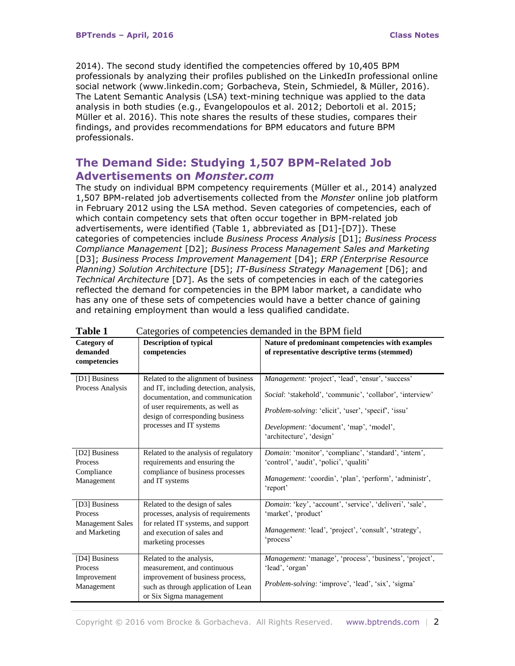2014). The second study identified the competencies offered by 10,405 BPM professionals by analyzing their profiles published on the LinkedIn professional online social network (www.linkedin.com; Gorbacheva, Stein, Schmiedel, & Müller, 2016). The Latent Semantic Analysis (LSA) text-mining technique was applied to the data analysis in both studies (e.g., Evangelopoulos et al. 2012; Debortoli et al. 2015; Müller et al. 2016). This note shares the results of these studies, compares their findings, and provides recommendations for BPM educators and future BPM professionals.

# **The Demand Side: Studying 1,507 BPM-Related Job Advertisements on** *Monster.com*

The study on individual BPM competency requirements (Müller et al., 2014) analyzed 1,507 BPM-related job advertisements collected from the *Monster* online job platform in February 2012 using the LSA method. Seven categories of competencies, each of which contain competency sets that often occur together in BPM-related job advertisements, were identified (Table 1, abbreviated as [D1]-[D7]). These categories of competencies include *Business Process Analysis* [D1]; *Business Process Compliance Management* [D2]; *Business Process Management Sales and Marketing* [D3]; *Business Process Improvement Management* [D4]; *ERP (Enterprise Resource Planning) Solution Architecture* [D5]; *IT-Business Strategy Management* [D6]; and *Technical Architecture* [D7]. As the sets of competencies in each of the categories reflected the demand for competencies in the BPM labor market, a candidate who has any one of these sets of competencies would have a better chance of gaining and retaining employment than would a less qualified candidate.

| Category of<br>demanded<br>competencies                              | <b>Description of typical</b><br>competencies                                                                                                                                                                          | Nature of predominant competencies with examples<br>of representative descriptive terms (stemmed)                                                                                                                                            |
|----------------------------------------------------------------------|------------------------------------------------------------------------------------------------------------------------------------------------------------------------------------------------------------------------|----------------------------------------------------------------------------------------------------------------------------------------------------------------------------------------------------------------------------------------------|
| [D1] Business<br>Process Analysis                                    | Related to the alignment of business<br>and IT, including detection, analysis,<br>documentation, and communication<br>of user requirements, as well as<br>design of corresponding business<br>processes and IT systems | Management: 'project', 'lead', 'ensur', 'success'<br>Social: 'stakehold', 'communic', 'collabor', 'interview'<br>Problem-solving: 'elicit', 'user', 'specif', 'issu'<br>Development: 'document', 'map', 'model',<br>'architecture', 'design' |
| [D2] Business<br>Process<br>Compliance<br>Management                 | Related to the analysis of regulatory<br>requirements and ensuring the<br>compliance of business processes<br>and IT systems                                                                                           | Domain: 'monitor', 'complianc', 'standard', 'intern',<br>'control', 'audit', 'polici', 'qualiti'<br><i>Management</i> : 'coordin', 'plan', 'perform', 'administr',<br>'report'                                                               |
| [D3] Business<br>Process<br><b>Management Sales</b><br>and Marketing | Related to the design of sales<br>processes, analysis of requirements<br>for related IT systems, and support<br>and execution of sales and<br>marketing processes                                                      | Domain: 'key', 'account', 'service', 'deliveri', 'sale',<br>'market', 'product'<br>Management: 'lead', 'project', 'consult', 'strategy',<br>'process'                                                                                        |
| [D4] Business<br>Process<br>Improvement<br>Management                | Related to the analysis,<br>measurement, and continuous<br>improvement of business process,<br>such as through application of Lean<br>or Six Sigma management                                                          | Management: 'manage', 'process', 'business', 'project',<br>'lead', 'organ'<br>Problem-solving: 'improve', 'lead', 'six', 'sigma'                                                                                                             |

| Table 1 |  | Categories of competencies demanded in the BPM field |  |
|---------|--|------------------------------------------------------|--|
|         |  |                                                      |  |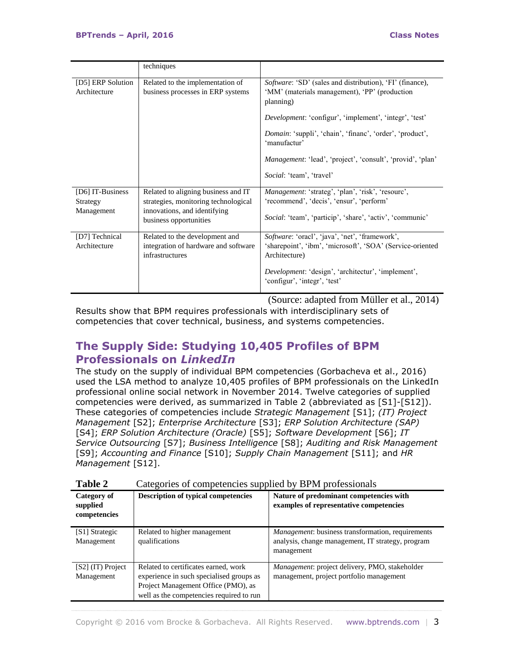|                                            | techniques                                                                                                                            |                                                                                                                                                                                                                                                                                                                                                                               |
|--------------------------------------------|---------------------------------------------------------------------------------------------------------------------------------------|-------------------------------------------------------------------------------------------------------------------------------------------------------------------------------------------------------------------------------------------------------------------------------------------------------------------------------------------------------------------------------|
| [D5] ERP Solution<br>Architecture          | Related to the implementation of<br>business processes in ERP systems                                                                 | Software: 'SD' (sales and distribution), 'FI' (finance),<br>'MM' (materials management), 'PP' (production<br>planning)<br><i>Development:</i> 'configur', 'implement', 'integr', 'test'<br>Domain: 'suppli', 'chain', 'financ', 'order', 'product',<br>'manufactur'<br><i>Management</i> : 'lead', 'project', 'consult', 'provid', 'plan'<br><i>Social</i> : 'team', 'travel' |
| [D6] IT-Business<br>Strategy<br>Management | Related to aligning business and IT<br>strategies, monitoring technological<br>innovations, and identifying<br>business opportunities | <i>Management</i> : 'strateg', 'plan', 'risk', 'resourc',<br>'recommend', 'decis', 'ensur', 'perform'<br><i>Social:</i> 'team', 'particip', 'share', 'activ', 'communic'                                                                                                                                                                                                      |
| [D7] Technical<br>Architecture             | Related to the development and<br>integration of hardware and software<br>infrastructures                                             | Software: 'oracl', 'java', 'net', 'framework',<br>'sharepoint', 'ibm', 'microsoft', 'SOA' (Service-oriented<br>Architecture)<br><i>Development</i> : 'design', 'architectur', 'implement',<br>'configur', 'integr', 'test'                                                                                                                                                    |

(Source: adapted from Müller et al., 2014)

Results show that BPM requires professionals with interdisciplinary sets of competencies that cover technical, business, and systems competencies.

# **The Supply Side: Studying 10,405 Profiles of BPM Professionals on** *LinkedIn*

The study on the supply of individual BPM competencies (Gorbacheva et al., 2016) used the LSA method to analyze 10,405 profiles of BPM professionals on the LinkedIn professional online social network in November 2014. Twelve categories of supplied competencies were derived, as summarized in Table 2 (abbreviated as [S1]-[S12]). These categories of competencies include *Strategic Management* [S1]; *(IT) Project Management* [S2]; *Enterprise Architecture* [S3]; *ERP Solution Architecture (SAP)* [S4]; *ERP Solution Architecture (Oracle)* [S5]; *Software Development* [S6]; *IT Service Outsourcing* [S7]; *Business Intelligence* [S8]; *Auditing and Risk Management* [S9]; *Accounting and Finance* [S10]; *Supply Chain Management* [S11]; and *HR Management* [S12].

| 1 avit <i>2</i>                         | Categories of competencies supplied by Dr in professionals                                                                                                          |                                                                                                                             |
|-----------------------------------------|---------------------------------------------------------------------------------------------------------------------------------------------------------------------|-----------------------------------------------------------------------------------------------------------------------------|
| Category of<br>supplied<br>competencies | <b>Description of typical competencies</b>                                                                                                                          | Nature of predominant competencies with<br>examples of representative competencies                                          |
| [S1] Strategic<br>Management            | Related to higher management<br>qualifications                                                                                                                      | <i>Management:</i> business transformation, requirements<br>analysis, change management, IT strategy, program<br>management |
| [S2] (IT) Project<br>Management         | Related to certificates earned, work<br>experience in such specialised groups as<br>Project Management Office (PMO), as<br>well as the competencies required to run | <i>Management:</i> project delivery, PMO, stakeholder<br>management, project portfolio management                           |

**Table 2** Categories of competencies supplied by RPM professionals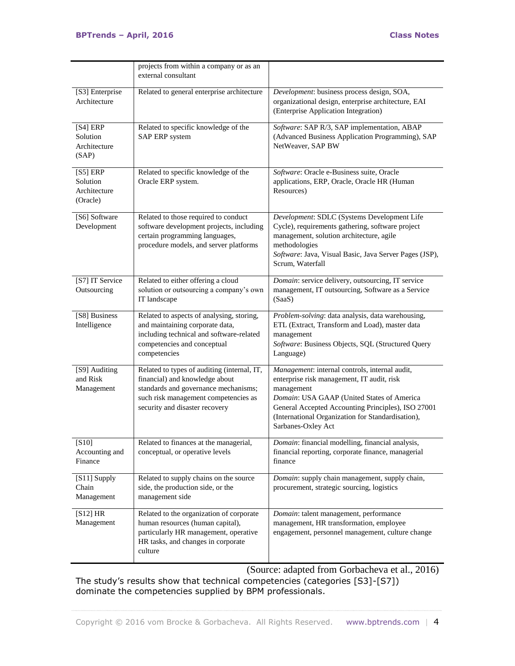|                                                    | projects from within a company or as an<br>external consultant                                                                                                                                  |                                                                                                                                                                                                                                                                                           |
|----------------------------------------------------|-------------------------------------------------------------------------------------------------------------------------------------------------------------------------------------------------|-------------------------------------------------------------------------------------------------------------------------------------------------------------------------------------------------------------------------------------------------------------------------------------------|
| [S3] Enterprise<br>Architecture                    | Related to general enterprise architecture                                                                                                                                                      | Development: business process design, SOA,<br>organizational design, enterprise architecture, EAI<br>(Enterprise Application Integration)                                                                                                                                                 |
| [S4] ERP<br>Solution<br>Architecture<br>(SAP)      | Related to specific knowledge of the<br>SAP ERP system                                                                                                                                          | Software: SAP R/3, SAP implementation, ABAP<br>(Advanced Business Application Programming), SAP<br>NetWeaver, SAP BW                                                                                                                                                                      |
| $[S5]$ ERP<br>Solution<br>Architecture<br>(Oracle) | Related to specific knowledge of the<br>Oracle ERP system.                                                                                                                                      | Software: Oracle e-Business suite, Oracle<br>applications, ERP, Oracle, Oracle HR (Human<br>Resources)                                                                                                                                                                                    |
| [S6] Software<br>Development                       | Related to those required to conduct<br>software development projects, including<br>certain programming languages,<br>procedure models, and server platforms                                    | Development: SDLC (Systems Development Life<br>Cycle), requirements gathering, software project<br>management, solution architecture, agile<br>methodologies<br>Software: Java, Visual Basic, Java Server Pages (JSP),<br>Scrum, Waterfall                                                |
| [S7] IT Service<br>Outsourcing                     | Related to either offering a cloud<br>solution or outsourcing a company's own<br>IT landscape                                                                                                   | Domain: service delivery, outsourcing, IT service<br>management, IT outsourcing, Software as a Service<br>(SaaS)                                                                                                                                                                          |
| [S8] Business<br>Intelligence                      | Related to aspects of analysing, storing,<br>and maintaining corporate data,<br>including technical and software-related<br>competencies and conceptual<br>competencies                         | Problem-solving: data analysis, data warehousing,<br>ETL (Extract, Transform and Load), master data<br>management<br>Software: Business Objects, SQL (Structured Query<br>Language)                                                                                                       |
| [S9] Auditing<br>and Risk<br>Management            | Related to types of auditing (internal, IT,<br>financial) and knowledge about<br>standards and governance mechanisms;<br>such risk management competencies as<br>security and disaster recovery | Management: internal controls, internal audit,<br>enterprise risk management, IT audit, risk<br>management<br>Domain: USA GAAP (United States of America<br>General Accepted Accounting Principles), ISO 27001<br>(International Organization for Standardisation),<br>Sarbanes-Oxley Act |
| [S10]<br>Accounting and<br>Finance                 | Related to finances at the managerial,<br>conceptual, or operative levels                                                                                                                       | Domain: financial modelling, financial analysis,<br>financial reporting, corporate finance, managerial<br>finance                                                                                                                                                                         |
| [S11] Supply<br>Chain<br>Management                | Related to supply chains on the source<br>side, the production side, or the<br>management side                                                                                                  | Domain: supply chain management, supply chain,<br>procurement, strategic sourcing, logistics                                                                                                                                                                                              |
| $[S12]$ HR<br>Management                           | Related to the organization of corporate<br>human resources (human capital),<br>particularly HR management, operative<br>HR tasks, and changes in corporate<br>culture                          | Domain: talent management, performance<br>management, HR transformation, employee<br>engagement, personnel management, culture change                                                                                                                                                     |

(Source: adapted from Gorbacheva et al., 2016)

The study's results show that technical competencies (categories [S3]-[S7]) dominate the competencies supplied by BPM professionals.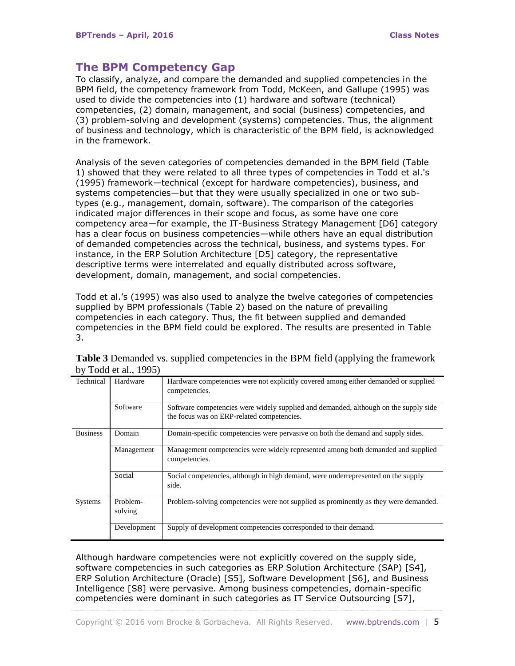## **The BPM Competency Gap**

To classify, analyze, and compare the demanded and supplied competencies in the BPM field, the competency framework from Todd, McKeen, and Gallupe (1995) was used to divide the competencies into (1) hardware and software (technical) competencies, (2) domain, management, and social (business) competencies, and (3) problem-solving and development (systems) competencies. Thus, the alignment of business and technology, which is characteristic of the BPM field, is acknowledged in the framework.

Analysis of the seven categories of competencies demanded in the BPM field (Table 1) showed that they were related to all three types of competencies in Todd et al.'s (1995) framework—technical (except for hardware competencies), business, and systems competencies—but that they were usually specialized in one or two subtypes (e.g., management, domain, software). The comparison of the categories indicated major differences in their scope and focus, as some have one core competency area—for example, the IT-Business Strategy Management [D6] category has a clear focus on business competencies—while others have an equal distribution of demanded competencies across the technical, business, and systems types. For instance, in the ERP Solution Architecture [D5] category, the representative descriptive terms were interrelated and equally distributed across software, development, domain, management, and social competencies.

Todd et al.'s (1995) was also used to analyze the twelve categories of competencies supplied by BPM professionals (Table 2) based on the nature of prevailing competencies in each category. Thus, the fit between supplied and demanded competencies in the BPM field could be explored. The results are presented in Table 3.

| Technical       | Hardware            | Hardware competencies were not explicitly covered among either demanded or supplied<br>competencies.                               |
|-----------------|---------------------|------------------------------------------------------------------------------------------------------------------------------------|
|                 | Software            | Software competencies were widely supplied and demanded, although on the supply side<br>the focus was on ERP-related competencies. |
| <b>Business</b> | Domain              | Domain-specific competencies were pervasive on both the demand and supply sides.                                                   |
|                 | Management          | Management competencies were widely represented among both demanded and supplied<br>competencies.                                  |
|                 | Social              | Social competencies, although in high demand, were underrepresented on the supply<br>side.                                         |
| <b>Systems</b>  | Problem-<br>solving | Problem-solving competencies were not supplied as prominently as they were demanded.                                               |
|                 | Development         | Supply of development competencies corresponded to their demand.                                                                   |

**Table 3** Demanded vs. supplied competencies in the BPM field (applying the framework by Todd et al., 1995)

Although hardware competencies were not explicitly covered on the supply side, software competencies in such categories as ERP Solution Architecture (SAP) [S4], ERP Solution Architecture (Oracle) [S5], Software Development [S6], and Business Intelligence [S8] were pervasive. Among business competencies, domain-specific competencies were dominant in such categories as IT Service Outsourcing [S7],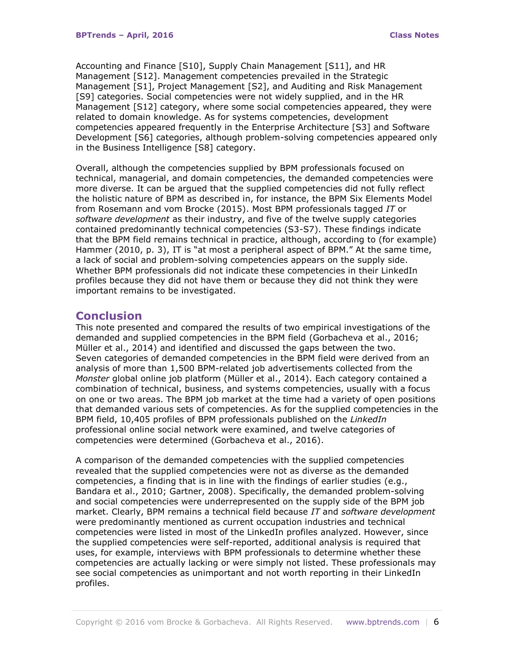Accounting and Finance [S10], Supply Chain Management [S11], and HR Management [S12]. Management competencies prevailed in the Strategic Management [S1], Project Management [S2], and Auditing and Risk Management [S9] categories. Social competencies were not widely supplied, and in the HR Management [S12] category, where some social competencies appeared, they were related to domain knowledge. As for systems competencies, development competencies appeared frequently in the Enterprise Architecture [S3] and Software Development [S6] categories, although problem-solving competencies appeared only in the Business Intelligence [S8] category.

Overall, although the competencies supplied by BPM professionals focused on technical, managerial, and domain competencies, the demanded competencies were more diverse. It can be argued that the supplied competencies did not fully reflect the holistic nature of BPM as described in, for instance, the BPM Six Elements Model from Rosemann and vom Brocke (2015). Most BPM professionals tagged *IT* or *software development* as their industry, and five of the twelve supply categories contained predominantly technical competencies (S3-S7). These findings indicate that the BPM field remains technical in practice, although, according to (for example) Hammer (2010, p. 3), IT is "at most a peripheral aspect of BPM." At the same time, a lack of social and problem-solving competencies appears on the supply side. Whether BPM professionals did not indicate these competencies in their LinkedIn profiles because they did not have them or because they did not think they were important remains to be investigated.

### **Conclusion**

This note presented and compared the results of two empirical investigations of the demanded and supplied competencies in the BPM field (Gorbacheva et al., 2016; Müller et al., 2014) and identified and discussed the gaps between the two. Seven categories of demanded competencies in the BPM field were derived from an analysis of more than 1,500 BPM-related job advertisements collected from the *Monster* global online job platform (Müller et al., 2014). Each category contained a combination of technical, business, and systems competencies, usually with a focus on one or two areas. The BPM job market at the time had a variety of open positions that demanded various sets of competencies. As for the supplied competencies in the BPM field, 10,405 profiles of BPM professionals published on the *LinkedIn* professional online social network were examined, and twelve categories of competencies were determined (Gorbacheva et al., 2016).

A comparison of the demanded competencies with the supplied competencies revealed that the supplied competencies were not as diverse as the demanded competencies, a finding that is in line with the findings of earlier studies (e.g., Bandara et al., 2010; Gartner, 2008). Specifically, the demanded problem-solving and social competencies were underrepresented on the supply side of the BPM job market. Clearly, BPM remains a technical field because *IT* and *software development* were predominantly mentioned as current occupation industries and technical competencies were listed in most of the LinkedIn profiles analyzed. However, since the supplied competencies were self-reported, additional analysis is required that uses, for example, interviews with BPM professionals to determine whether these competencies are actually lacking or were simply not listed. These professionals may see social competencies as unimportant and not worth reporting in their LinkedIn profiles.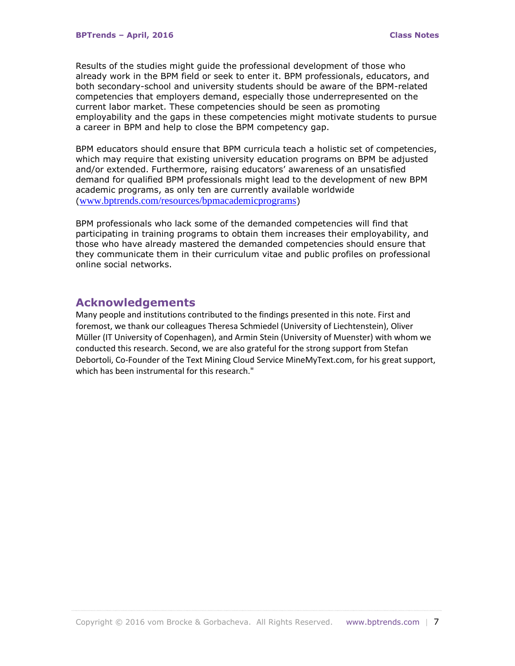Results of the studies might guide the professional development of those who already work in the BPM field or seek to enter it. BPM professionals, educators, and both secondary-school and university students should be aware of the BPM-related competencies that employers demand, especially those underrepresented on the current labor market. These competencies should be seen as promoting employability and the gaps in these competencies might motivate students to pursue a career in BPM and help to close the BPM competency gap.

BPM educators should ensure that BPM curricula teach a holistic set of competencies, which may require that existing university education programs on BPM be adjusted and/or extended. Furthermore, raising educators' awareness of an unsatisfied demand for qualified BPM professionals might lead to the development of new BPM academic programs, as only ten are currently available worldwide ([www.bptrends.com/resources/bpmacademicprograms](http://www.bptrends.com/resources/bpmacademicprograms))

BPM professionals who lack some of the demanded competencies will find that participating in training programs to obtain them increases their employability, and those who have already mastered the demanded competencies should ensure that they communicate them in their curriculum vitae and public profiles on professional online social networks.

#### **Acknowledgements**

Many people and institutions contributed to the findings presented in this note. First and foremost, we thank our colleagues Theresa Schmiedel (University of Liechtenstein), Oliver Müller (IT University of Copenhagen), and Armin Stein (University of Muenster) with whom we conducted this research. Second, we are also grateful for the strong support from Stefan Debortoli, Co-Founder of the Text Mining Cloud Service MineMyText.com, for his great support, which has been instrumental for this research."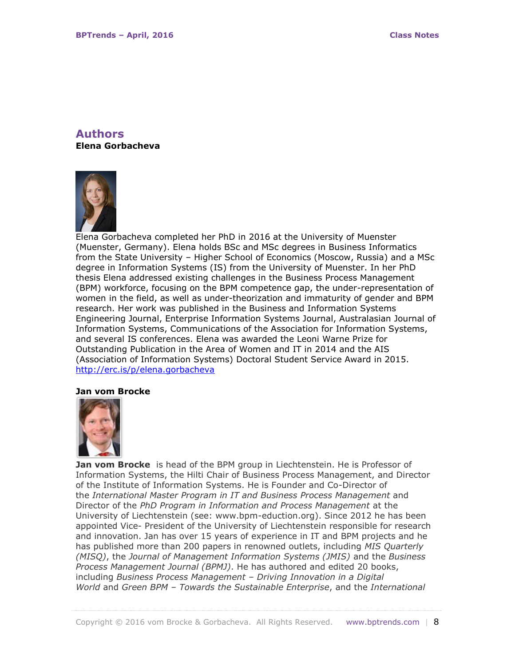#### **Authors Elena Gorbacheva**



Elena Gorbacheva completed her PhD in 2016 at the University of Muenster (Muenster, Germany). Elena holds BSc and MSc degrees in Business Informatics from the State University – Higher School of Economics (Moscow, Russia) and a MSc degree in Information Systems (IS) from the University of Muenster. In her PhD thesis Elena addressed existing challenges in the Business Process Management (BPM) workforce, focusing on the BPM competence gap, the under-representation of women in the field, as well as under-theorization and immaturity of gender and BPM research. Her work was published in the Business and Information Systems Engineering Journal, Enterprise Information Systems Journal, Australasian Journal of Information Systems, Communications of the Association for Information Systems, and several IS conferences. Elena was awarded the Leoni Warne Prize for Outstanding Publication in the Area of Women and IT in 2014 and the AIS (Association of Information Systems) Doctoral Student Service Award in 2015. <http://erc.is/p/elena.gorbacheva>

#### **Jan vom Brocke**



**Jan vom Brocke** is head of the BPM group in Liechtenstein. He is Professor of Information Systems, the Hilti Chair of Business Process Management, and Director of the Institute of Information Systems. He is Founder and Co-Director of the *International Master Program in IT and Business Process Management* and Director of the *PhD Program in Information and Process Management* at the University of Liechtenstein (see: www.bpm-eduction.org). Since 2012 he has been appointed Vice- President of the University of Liechtenstein responsible for research and innovation. Jan has over 15 years of experience in IT and BPM projects and he has published more than 200 papers in renowned outlets, including *MIS Quarterly (MISQ)*, the *Journal of Management Information Systems (JMIS)* and the *Business Process Management Journal (BPMJ)*. He has authored and edited 20 books, including *Business Process Management – Driving Innovation in a Digital World* and *Green BPM – Towards the Sustainable Enterprise*, and the *International*